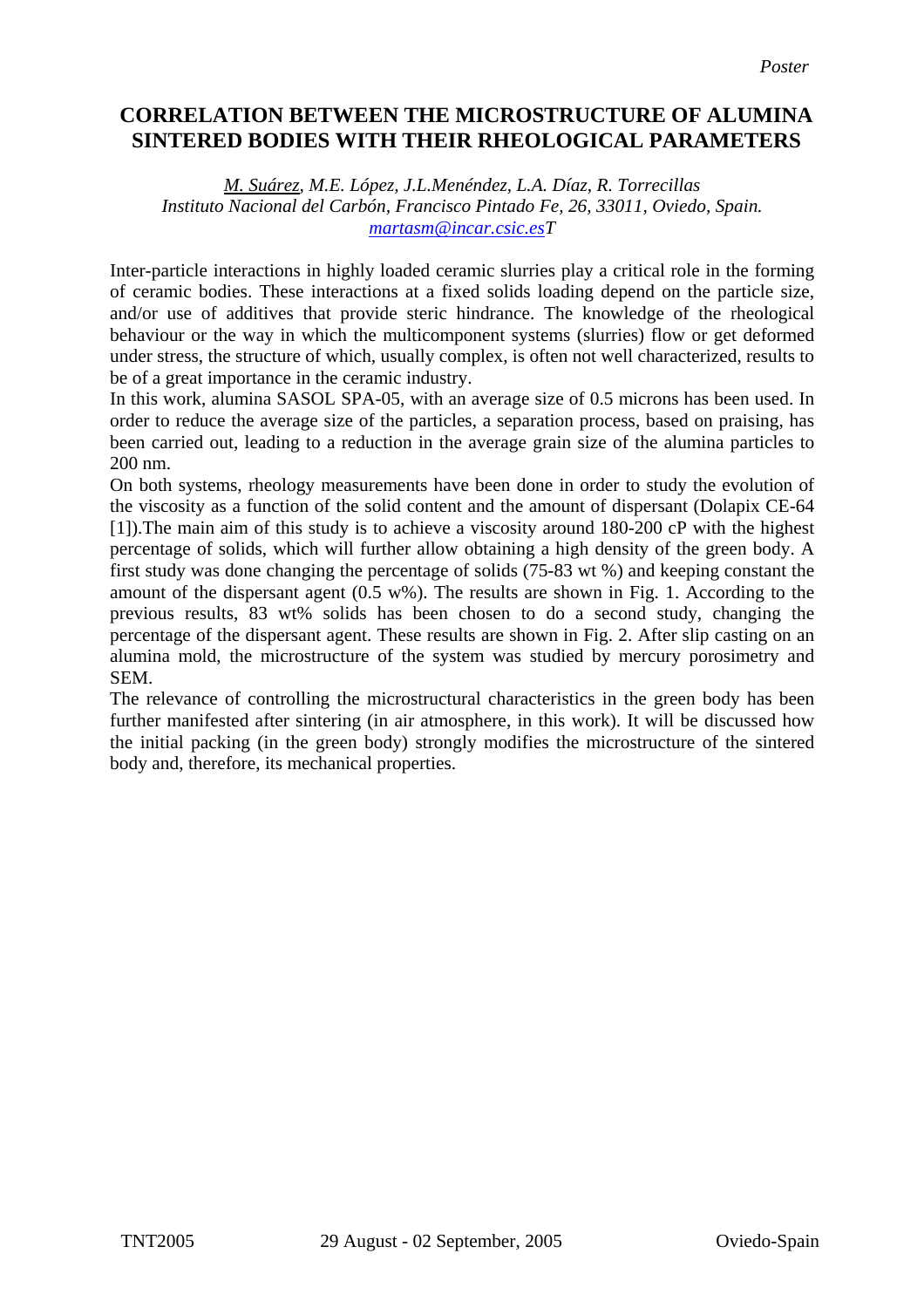## **CORRELATION BETWEEN THE MICROSTRUCTURE OF ALUMINA SINTERED BODIES WITH THEIR RHEOLOGICAL PARAMETERS**

*M. Suárez, M.E. López, J.L.Menéndez, L.A. Díaz, R. Torrecillas Instituto Nacional del Carbón, Francisco Pintado Fe, 26, 33011, Oviedo, Spain. [martasm@incar.csic.esT](mailto:martasm@incar.csic.es)*

Inter-particle interactions in highly loaded ceramic slurries play a critical role in the forming of ceramic bodies. These interactions at a fixed solids loading depend on the particle size, and/or use of additives that provide steric hindrance. The knowledge of the rheological behaviour or the way in which the multicomponent systems (slurries) flow or get deformed under stress, the structure of which, usually complex, is often not well characterized, results to be of a great importance in the ceramic industry.

In this work, alumina SASOL SPA-05, with an average size of 0.5 microns has been used. In order to reduce the average size of the particles, a separation process, based on praising, has been carried out, leading to a reduction in the average grain size of the alumina particles to 200 nm.

On both systems, rheology measurements have been done in order to study the evolution of the viscosity as a function of the solid content and the amount of dispersant (Dolapix CE-64 [\[1\]](#page-1-0)).The main aim of this study is to achieve a viscosity around 180-200 cP with the highest percentage of solids, which will further allow obtaining a high density of the green body. A first study was done changing the percentage of solids (75-83 wt %) and keeping constant the amount of the dispersant agent (0.5 w%). The results are shown in Fig. 1. According to the previous results, 83 wt% solids has been chosen to do a second study, changing the percentage of the dispersant agent. These results are shown in Fig. 2. After slip casting on an alumina mold, the microstructure of the system was studied by mercury porosimetry and SEM.

The relevance of controlling the microstructural characteristics in the green body has been further manifested after sintering (in air atmosphere, in this work). It will be discussed how the initial packing (in the green body) strongly modifies the microstructure of the sintered body and, therefore, its mechanical properties.